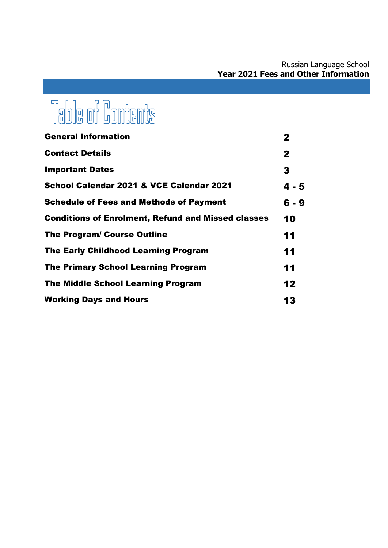# Table of Contents

| <b>General Information</b>                                | $\mathbf{2}$ |
|-----------------------------------------------------------|--------------|
| <b>Contact Details</b>                                    | $\mathbf{2}$ |
| <b>Important Dates</b>                                    | 3            |
| School Calendar 2021 & VCE Calendar 2021                  | $4 - 5$      |
| <b>Schedule of Fees and Methods of Payment</b>            | 6 - 9        |
| <b>Conditions of Enrolment, Refund and Missed classes</b> | 10           |
| <b>The Program/ Course Outline</b>                        | 11           |
| <b>The Early Childhood Learning Program</b>               | 11           |
| <b>The Primary School Learning Program</b>                | 11           |
| <b>The Middle School Learning Program</b>                 | 12           |
| <b>Working Days and Hours</b>                             | 13           |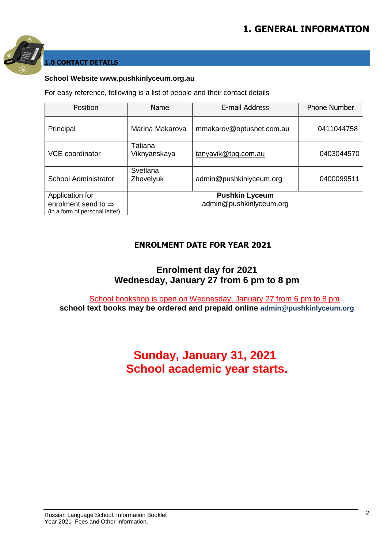

### **1.0 CONTACT DETAILS**

#### **School Website www.pushkinlyceum.org.au**

For easy reference, following is a list of people and their contact details

| Position                                                                             | Name                    | E-mail Address                                   | <b>Phone Number</b> |
|--------------------------------------------------------------------------------------|-------------------------|--------------------------------------------------|---------------------|
| Principal                                                                            | Marina Makarova         | mmakarov@optusnet.com.au                         | 0411044758          |
| <b>VCE</b> coordinator                                                               | Tatiana<br>Viknyanskaya | tanyavik@tpg.com.au                              | 0403044570          |
| <b>School Administrator</b>                                                          | Svetlana<br>Zhevelyuk   | admin@pushkinlyceum.org                          | 0400099511          |
| Application for<br>enrolment send to $\Rightarrow$<br>(in a form of personal letter) |                         | <b>Pushkin Lyceum</b><br>admin@pushkinlyceum.org |                     |

### **ENROLMENT DATE FOR YEAR 2021**

### **Enrolment day for 2021 Wednesday, January 27 from 6 pm to 8 pm**

School bookshop is open on Wednesday, January 27 from 6 pm to 8 pm **school text books may be ordered and prepaid online admin@pushkinlyceum.org**

# **Sunday, January 31, 2021 School academic year starts.**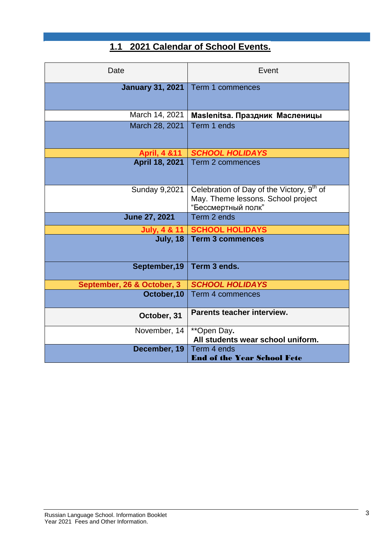## **1.1 2021 Calendar of School Events.**

| Date                       | Event                                                                                                             |
|----------------------------|-------------------------------------------------------------------------------------------------------------------|
| <b>January 31, 2021</b>    | Term 1 commences                                                                                                  |
| March 14, 2021             | Maslenitsa. Праздник Масленицы                                                                                    |
| March 28, 2021             | Term 1 ends                                                                                                       |
| <b>April, 4 &amp; 11</b>   | <b>SCHOOL HOLIDAYS</b>                                                                                            |
| April 18, 2021             | Term 2 commences                                                                                                  |
| <b>Sunday 9,2021</b>       | Celebration of Day of the Victory, 9 <sup>th</sup> of<br>May. Theme lessons. School project<br>"Бессмертный полк" |
| <b>June 27, 2021</b>       | Term 2 ends                                                                                                       |
| <b>July, 4 &amp; 11</b>    | <b>SCHOOL HOLIDAYS</b>                                                                                            |
| <b>July, 18</b>            | <b>Term 3 commences</b>                                                                                           |
| September, 19              | Term 3 ends.                                                                                                      |
| September, 26 & October, 3 | <b>SCHOOL HOLIDAYS</b>                                                                                            |
| October, 10                | <b>Term 4 commences</b>                                                                                           |
| October, 31                | Parents teacher interview.                                                                                        |
| November, 14               | **Open Day.<br>All students wear school uniform.                                                                  |
| December, 19               | Term 4 ends<br><b>End of the Year School Fete</b>                                                                 |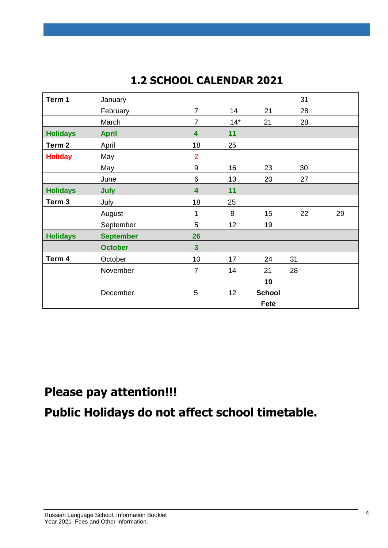# **1.2 SCHOOL CALENDAR 2021**

| Term 1            | January          |                         |       |               | 31 |    |
|-------------------|------------------|-------------------------|-------|---------------|----|----|
|                   | February         | $\overline{7}$          | 14    | 21            | 28 |    |
|                   | March            | $\overline{7}$          | $14*$ | 21            | 28 |    |
| <b>Holidays</b>   | <b>April</b>     | 4                       | 11    |               |    |    |
| Term <sub>2</sub> | April            | 18                      | 25    |               |    |    |
| <b>Holiday</b>    | May              | $\overline{2}$          |       |               |    |    |
|                   | May              | $9\,$                   | 16    | 23            | 30 |    |
|                   | June             | $\,6$                   | 13    | 20            | 27 |    |
| <b>Holidays</b>   | July             | $\overline{\mathbf{4}}$ | 11    |               |    |    |
| Term 3            | July             | 18                      | 25    |               |    |    |
|                   | August           | 1                       | 8     | 15            | 22 | 29 |
|                   | September        | 5                       | 12    | 19            |    |    |
| <b>Holidays</b>   | <b>September</b> | 26                      |       |               |    |    |
|                   | <b>October</b>   | $\overline{\mathbf{3}}$ |       |               |    |    |
| Term 4            | October          | 10                      | 17    | 24            | 31 |    |
|                   | November         | $\overline{7}$          | 14    | 21            | 28 |    |
|                   |                  |                         |       | 19            |    |    |
|                   | December         | 5                       | 12    | <b>School</b> |    |    |
|                   |                  |                         |       | Fete          |    |    |
|                   |                  |                         |       |               |    |    |

# **Please pay attention!!!**

**Public Holidays do not affect school timetable.**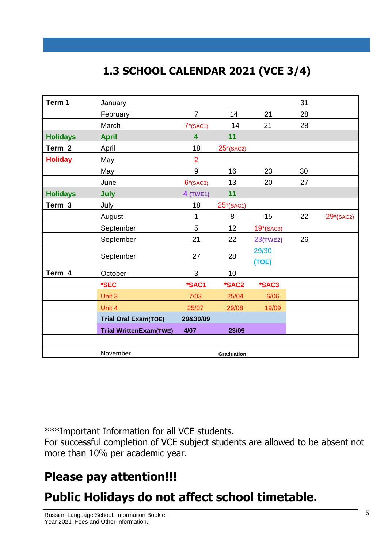# **1.3 SCHOOL CALENDAR 2021 (VCE 3/4)**

| Term 1            | January                       |                |                   |                 | 31 |           |
|-------------------|-------------------------------|----------------|-------------------|-----------------|----|-----------|
|                   | February                      | $\overline{7}$ | 14                | 21              | 28 |           |
|                   | March                         | $7*(SAC1)$     | 14                | 21              | 28 |           |
| <b>Holidays</b>   | <b>April</b>                  | 4              | 11                |                 |    |           |
| Term <sub>2</sub> | April                         | 18             | $25^*$ (SAC2)     |                 |    |           |
| <b>Holiday</b>    | May                           | $\overline{2}$ |                   |                 |    |           |
|                   | May                           | 9              | 16                | 23              | 30 |           |
|                   | June                          | $6*(SAC3)$     | 13                | 20              | 27 |           |
| <b>Holidays</b>   | July                          | 4 (TWE1)       | 11                |                 |    |           |
| Term <sub>3</sub> | July                          | 18             | $25*(SAC1)$       |                 |    |           |
|                   | August                        | 1              | 8                 | 15              | 22 | 29*(SAC2) |
|                   | September                     | 5              | 12                | $19*(SAC3)$     |    |           |
|                   | September                     | 21             | 22                | <b>23(TWE2)</b> | 26 |           |
|                   | September                     | 27             | 28                | 29/30<br>(TOE)  |    |           |
| Term 4            | October                       | 3              | 10                |                 |    |           |
|                   | *SEC                          | *SAC1          | *SAC2             | *SAC3           |    |           |
|                   | Unit 3                        | 7/03           | 25/04             | 6/06            |    |           |
|                   | Unit 4                        | 25/07          | 29/08             | 19/09           |    |           |
|                   | <b>Trial Oral Exam(TOE)</b>   | 29&30/09       |                   |                 |    |           |
|                   | <b>Trial WrittenExam(TWE)</b> | 4/07           | 23/09             |                 |    |           |
|                   |                               |                |                   |                 |    |           |
|                   | November                      |                | <b>Graduation</b> |                 |    |           |

\*\*\*Important Information for all VCE students.

For successful completion of VCE subject students are allowed to be absent not more than 10% per academic year.

# **Please pay attention!!!**

# **Public Holidays do not affect school timetable.**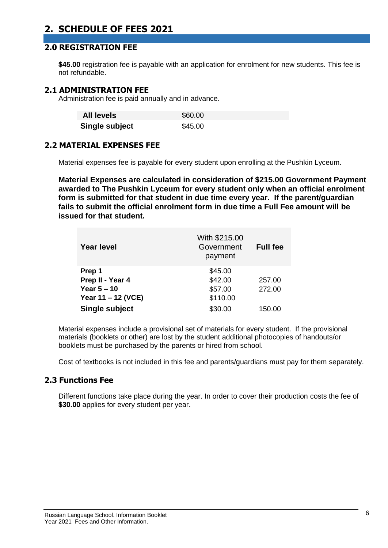### **2. SCHEDULE OF FEES 2021**

### **2.0 REGISTRATION FEE**

\$45.00 registration fee is payable with an application for enrolment for new students. This fee is not refundable.

#### **2.1 ADMINISTRATION FEE**

Administration fee is paid annually and in advance.

| <b>All levels</b> | \$60.00 |
|-------------------|---------|
| Single subject    | \$45.00 |

### **2.2 MATERIAL EXPENSES FEE**

Material expenses fee is payable for every student upon enrolling at the Pushkin Lyceum.

**Material Expenses are calculated in consideration of \$215.00 Government Payment awarded to The Pushkin Lyceum for every student only when an official enrolment form is submitted for that student in due time every year. If the parent/guardian fails to submit the official enrolment form in due time a Full Fee amount will be issued for that student.** 

| <b>Year level</b>  | With \$215.00<br>Government<br>payment | <b>Full fee</b> |
|--------------------|----------------------------------------|-----------------|
| Prep 1             | \$45.00                                |                 |
| Prep II - Year 4   | \$42.00                                | 257.00          |
| Year $5 - 10$      | \$57.00                                | 272.00          |
| Year 11 - 12 (VCE) | \$110.00                               |                 |
| Single subject     | \$30.00                                | 150.00          |

Material expenses include a provisional set of materials for every student. If the provisional materials (booklets or other) are lost by the student additional photocopies of handouts/or booklets must be purchased by the parents or hired from school.

Cost of textbooks is not included in this fee and parents/guardians must pay for them separately.

#### **2.3 Functions Fee**

Different functions take place during the year. In order to cover their production costs the fee of **\$30.00** applies for every student per year.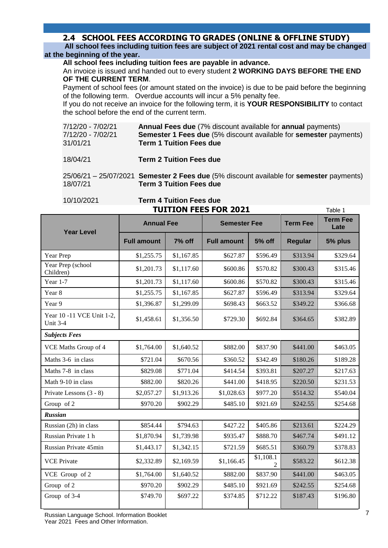### **2.4 SCHOOL FEES ACCORDING TO GRADES (ONLINE & OFFLINE STUDY)**

 **All school fees including tuition fees are subject of 2021 rental cost and may be changed at the beginning of the year.**

**All school fees including tuition fees are payable in advance.**

An invoice is issued and handed out to every student **2 WORKING DAYS BEFORE THE END OF THE CURRENT TERM**.

Payment of school fees (or amount stated on the invoice) is due to be paid before the beginning of the following term. Overdue accounts will incur a 5% penalty fee.

If you do not receive an invoice for the following term, it is **YOUR RESPONSIBILITY** to contact the school before the end of the current term.

| 7/12/20 - 7/02/21 | <b>Annual Fees due</b> (7% discount available for <b>annual</b> payments) |
|-------------------|---------------------------------------------------------------------------|
| 7/12/20 - 7/02/21 | <b>Semester 1 Fees due (5% discount available for semester payments)</b>  |
| 31/01/21          | <b>Term 1 Tuition Fees due</b>                                            |

18/04/21 **Term 2 Tuition Fees due**

25/06/21 – 25/07/2021 **Semester 2 Fees due** (5% discount available for **semester** payments) 18/07/21 **Term 3 Tuition Fees due**

#### 10/10/2021 **Term 4 Tuition Fees due TUITION FEES FOR 2021** Table 1

| <b>Year Level</b>                            | <b>Annual Fee</b>  |            | <b>Semester Fee</b> |               | <b>Term Fee</b> | <b>Term Fee</b><br>Late |
|----------------------------------------------|--------------------|------------|---------------------|---------------|-----------------|-------------------------|
|                                              | <b>Full amount</b> | 7% off     | <b>Full amount</b>  | <b>5% off</b> | <b>Regular</b>  | 5% plus                 |
| Year Prep                                    | \$1,255.75         | \$1,167.85 | \$627.87            | \$596.49      | \$313.94        | \$329.64                |
| Year Prep (school<br>Children)               | \$1,201.73         | \$1,117.60 | \$600.86            | \$570.82      | \$300.43        | \$315.46                |
| Year $1-7$                                   | \$1,201.73         | \$1,117.60 | \$600.86            | \$570.82      | \$300.43        | \$315.46                |
| Year 8                                       | \$1,255.75         | \$1,167.85 | \$627.87            | \$596.49      | \$313.94        | \$329.64                |
| Year 9                                       | \$1,396.87         | \$1,299.09 | \$698.43            | \$663.52      | \$349.22        | \$366.68                |
| Year 10 -11 VCE Unit 1-2,<br><b>Unit 3-4</b> | \$1,458.61         | \$1,356.50 | \$729.30            | \$692.84      | \$364.65        | \$382.89                |
| <b>Subjects Fees</b>                         |                    |            |                     |               |                 |                         |
| VCE Maths Group of 4                         | \$1,764.00         | \$1,640.52 | \$882.00            | \$837.90      | \$441.00        | \$463.05                |
| Maths 3-6 in class                           | \$721.04           | \$670.56   | \$360.52            | \$342.49      | \$180.26        | \$189.28                |
| Maths 7-8 in class                           | \$829.08           | \$771.04   | \$414.54            | \$393.81      | \$207.27        | \$217.63                |
| Math 9-10 in class                           | \$882.00           | \$820.26   | \$441.00            | \$418.95      | \$220.50        | \$231.53                |
| Private Lessons (3 - 8)                      | \$2,057.27         | \$1,913.26 | \$1,028.63          | \$977.20      | \$514.32        | \$540.04                |
| Group of 2                                   | \$970.20           | \$902.29   | \$485.10            | \$921.69      | \$242.55        | \$254.68                |
| <b>Russian</b>                               |                    |            |                     |               |                 |                         |
| Russian (2h) in class                        | \$854.44           | \$794.63   | \$427.22            | \$405.86      | \$213.61        | \$224.29                |
| Russian Private 1 h                          | \$1,870.94         | \$1,739.98 | \$935.47            | \$888.70      | \$467.74        | \$491.12                |
| Russian Private 45min                        | \$1,443.17         | \$1,342.15 | \$721.59            | \$685.51      | \$360.79        | \$378.83                |
| <b>VCE Private</b>                           | \$2,332.89         | \$2,169.59 | \$1,166.45          | \$1,108.1     | \$583.22        | \$612.38                |
| VCE Group of 2                               | \$1,764.00         | \$1,640.52 | \$882.00            | \$837.90      | \$441.00        | \$463.05                |
| Group of 2                                   | \$970.20           | \$902.29   | \$485.10            | \$921.69      | \$242.55        | \$254.68                |
| Group of 3-4                                 | \$749.70           | \$697.22   | \$374.85            | \$712.22      | \$187.43        | \$196.80                |

Russian Language School. Information Booklet Year 2021 Fees and Other Information.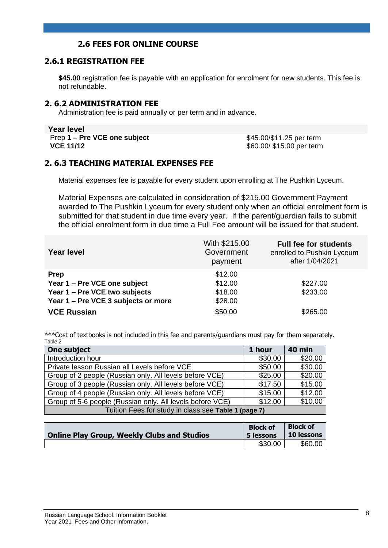### **2.6 FEES FOR ONLINE COURSE**

### **2.6.1 REGISTRATION FEE**

**\$45.00** registration fee is payable with an application for enrolment for new students. This fee is not refundable.

#### **2. 6.2 ADMINISTRATION FEE**

Administration fee is paid annually or per term and in advance.

**Year level Prep 1 – Pre VCE one subject** \$45.00/\$11.25 per term<br> **VCE 11/12** \$60.00/\$15.00 per term

\$60.00/ \$15.00 per term

#### **2. 6.3 TEACHING MATERIAL EXPENSES FEE**

Material expenses fee is payable for every student upon enrolling at The Pushkin Lyceum.

Material Expenses are calculated in consideration of \$215.00 Government Payment awarded to The Pushkin Lyceum for every student only when an official enrolment form is submitted for that student in due time every year. If the parent/guardian fails to submit the official enrolment form in due time a Full Fee amount will be issued for that student.

| <b>Year level</b>                   | With \$215.00<br>Government<br>payment | <b>Full fee for students</b><br>enrolled to Pushkin Lyceum<br>after 1/04/2021 |
|-------------------------------------|----------------------------------------|-------------------------------------------------------------------------------|
| <b>Prep</b>                         | \$12.00                                |                                                                               |
| Year 1 - Pre VCE one subject        | \$12.00                                | \$227.00                                                                      |
| Year 1 - Pre VCE two subjects       | \$18.00                                | \$233.00                                                                      |
| Year 1 – Pre VCE 3 subjects or more | \$28.00                                |                                                                               |
| <b>VCE Russian</b>                  | \$50.00                                | \$265.00                                                                      |

\*\*\*Cost of textbooks is not included in this fee and parents/guardians must pay for them separately. Table 2

| One subject                                               | 1 hour  | <b>40 min</b> |
|-----------------------------------------------------------|---------|---------------|
| Introduction hour                                         | \$30.00 | \$20.00       |
| Private lesson Russian all Levels before VCE              | \$50.00 | \$30.00       |
| Group of 2 people (Russian only. All levels before VCE)   | \$25.00 | \$20.00       |
| Group of 3 people (Russian only. All levels before VCE)   | \$17.50 | \$15.00       |
| Group of 4 people (Russian only. All levels before VCE)   | \$15.00 | \$12.00       |
| Group of 5-6 people (Russian only. All levels before VCE) | \$12.00 | \$10.00       |
| Tuition Fees for study in class see Table 1 (page 7)      |         |               |

**Online Play Group, Weekly Clubs and Studios Block of 5 lessons Block of 10 lessons**  $$30.00$  \$60.00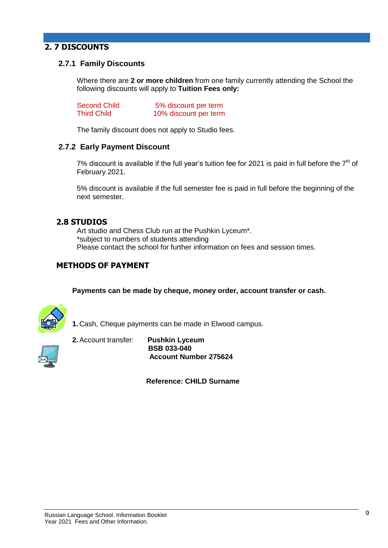### **2. 7 DISCOUNTS**

### **2.7.1 Family Discounts**

Where there are **2 or more children** from one family currently attending the School the following discounts will apply to **Tuition Fees only:**

| <b>Second Child</b> | 5% discount per term  |
|---------------------|-----------------------|
| <b>Third Child</b>  | 10% discount per term |

The family discount does not apply to Studio fees.

#### **2.7.2 Early Payment Discount**

7% discount is available if the full year's tuition fee for 2021 is paid in full before the  $7<sup>th</sup>$  of February 2021.

5% discount is available if the full semester fee is paid in full before the beginning of the next semester.

#### **2.8 STUDIOS**

Art studio and Chess Club run at the Pushkin Lyceum\*. \*subject to numbers of students attending Please contact the school for further information on fees and session times.

### **METHODS OF PAYMENT**

**Payments can be made by cheque, money order, account transfer or cash.**



**1.** Cash, Cheque payments can be made in Elwood campus.



**2.**Account transfer: **Pushkin Lyceum BSB 033-040**

 **Reference: CHILD Surname**

 **Account Number 275624**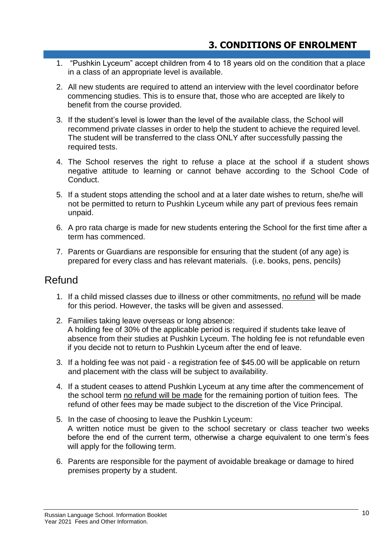- 1. "Pushkin Lyceum" accept children from 4 to 18 years old on the condition that a place in a class of an appropriate level is available.
- 2. All new students are required to attend an interview with the level coordinator before commencing studies. This is to ensure that, those who are accepted are likely to benefit from the course provided.
- 3. If the student's level is lower than the level of the available class, the School will recommend private classes in order to help the student to achieve the required level. The student will be transferred to the class ONLY after successfully passing the required tests.
- 4. The School reserves the right to refuse a place at the school if a student shows negative attitude to learning or cannot behave according to the School Code of Conduct.
- 5. If a student stops attending the school and at a later date wishes to return, she/he will not be permitted to return to Pushkin Lyceum while any part of previous fees remain unpaid.
- 6. A pro rata charge is made for new students entering the School for the first time after a term has commenced.
- 7. Parents or Guardians are responsible for ensuring that the student (of any age) is prepared for every class and has relevant materials. (i.e. books, pens, pencils)

### Refund

- 1. If a child missed classes due to illness or other commitments, no refund will be made for this period. However, the tasks will be given and assessed.
- 2. Families taking leave overseas or long absence: A holding fee of 30% of the applicable period is required if students take leave of absence from their studies at Pushkin Lyceum. The holding fee is not refundable even if you decide not to return to Pushkin Lyceum after the end of leave.
- 3. If a holding fee was not paid a registration fee of \$45.00 will be applicable on return and placement with the class will be subject to availability.
- 4. If a student ceases to attend Pushkin Lyceum at any time after the commencement of the school term no refund will be made for the remaining portion of tuition fees. The refund of other fees may be made subject to the discretion of the Vice Principal.
- 5. In the case of choosing to leave the Pushkin Lyceum: A written notice must be given to the school secretary or class teacher two weeks before the end of the current term, otherwise a charge equivalent to one term's fees will apply for the following term.
- 6. Parents are responsible for the payment of avoidable breakage or damage to hired premises property by a student.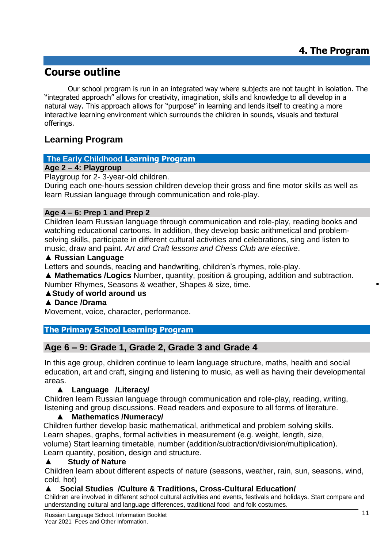# **Course outline**

Our school program is run in an integrated way where subjects are not taught in isolation. The "integrated approach" allows for creativity, imagination, skills and knowledge to all develop in a natural way. This approach allows for "purpose" in learning and lends itself to creating a more interactive learning environment which surrounds the children in sounds, visuals and textural offerings.

### **Learning Program**

### **The Early Childhood Learning Program**

### **Age 2 – 4: Playgroup**

Playgroup for 2- 3-year-old children.

During each one-hours session children develop their gross and fine motor skills as well as learn Russian language through communication and role-play.

### **Age 4 – 6: Prep 1 and Prep 2**

Children learn Russian language through communication and role-play, reading books and watching educational cartoons. In addition, they develop basic arithmetical and problemsolving skills, participate in different cultural activities and celebrations, sing and listen to music, draw and paint. *Art and Craft lessons and Chess Club are elective*.

### ▲ **Russian Language**

Letters and sounds, reading and handwriting, children's rhymes, role-play.

▲ **Mathematics /Logics** Number, quantity, position & grouping, addition and subtraction. Number Rhymes, Seasons & weather, Shapes & size, time.

# ▲**Study of world around us**

## ▲ **Dance /Drama**

Movement, voice, character, performance.

### **The Primary School Learning Program**

### **Age 6 – 9: Grade 1, Grade 2, Grade 3 and Grade 4**

In this age group, children continue to learn language structure, maths, health and social education, art and craft, singing and listening to music, as well as having their developmental areas.

### ▲ **Language /Literacy/**

Children learn Russian language through communication and role-play, reading, writing, listening and group discussions. Read readers and exposure to all forms of literature.

### ▲ **Mathematics /Numeracy/**

Children further develop basic mathematical, arithmetical and problem solving skills. Learn shapes, graphs, formal activities in measurement (e.g. weight, length, size, volume) Start learning timetable, number (addition/subtraction/division/multiplication). Learn quantity, position, design and structure.

### **Study of Nature**

Children learn about different aspects of nature (seasons, weather, rain, sun, seasons, wind, cold, hot)

### ▲ **Social Studies /Culture & Traditions, Cross-Cultural Education/**

Children are involved in different school cultural activities and events, festivals and holidays. Start compare and understanding cultural and language differences, traditional food and folk costumes.

 $\blacksquare$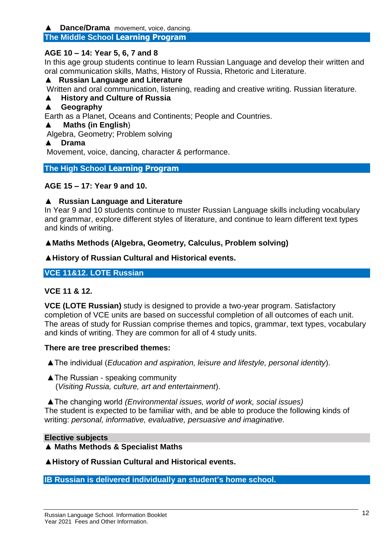### **Dance/Drama** movement, voice, dancing.

### **The Middle School Learning Program**

### **AGE 10 – 14: Year 5, 6, 7 and 8**

In this age group students continue to learn Russian Language and develop their written and oral communication skills, Maths, History of Russia, Rhetoric and Literature.

### ▲ **Russian Language and Literature**

Written and oral communication, listening, reading and creative writing. Russian literature.

### ▲ **History and Culture of Russia**

### ▲ **Geography**

Earth as a Planet, Oceans and Continents; People and Countries.

### ▲ **Maths (in English**)

Algebra, Geometry; Problem solving

### ▲ **Drama**

Movement, voice, dancing, character & performance.

### **The High School Learning Program**

### **AGE 15 – 17: Year 9 and 10.**

### ▲ **Russian Language and Literature**

In Year 9 and 10 students continue to muster Russian Language skills including vocabulary and grammar, explore different styles of literature, and continue to learn different text types and kinds of writing.

### ▲**Maths Methods (Algebra, Geometry, Calculus, Problem solving)**

### ▲**History of Russian Cultural and Historical events.**

### **VCE 11&12. LOTE Russian**

### **VCE 11 & 12.**

**VCE (LOTE Russian)** study is designed to provide a two-year program. Satisfactory completion of VCE units are based on successful completion of all outcomes of each unit. The areas of study for Russian comprise themes and topics, grammar, text types, vocabulary and kinds of writing. They are common for all of 4 study units.

### **There are tree prescribed themes:**

▲The individual (*Education and aspiration, leisure and lifestyle, personal identity*).

▲The Russian - speaking community (*Visiting Russia, culture, art and entertainment*).

▲The changing world *(Environmental issues, world of work, social issues)* The student is expected to be familiar with, and be able to produce the following kinds of writing: *personal, informative, evaluative, persuasive and imaginative.*

### **Elective subjects**

### ▲ **Maths Methods & Specialist Maths**

▲**History of Russian Cultural and Historical events.**

**IB Russian is delivered individually an student's home school.**